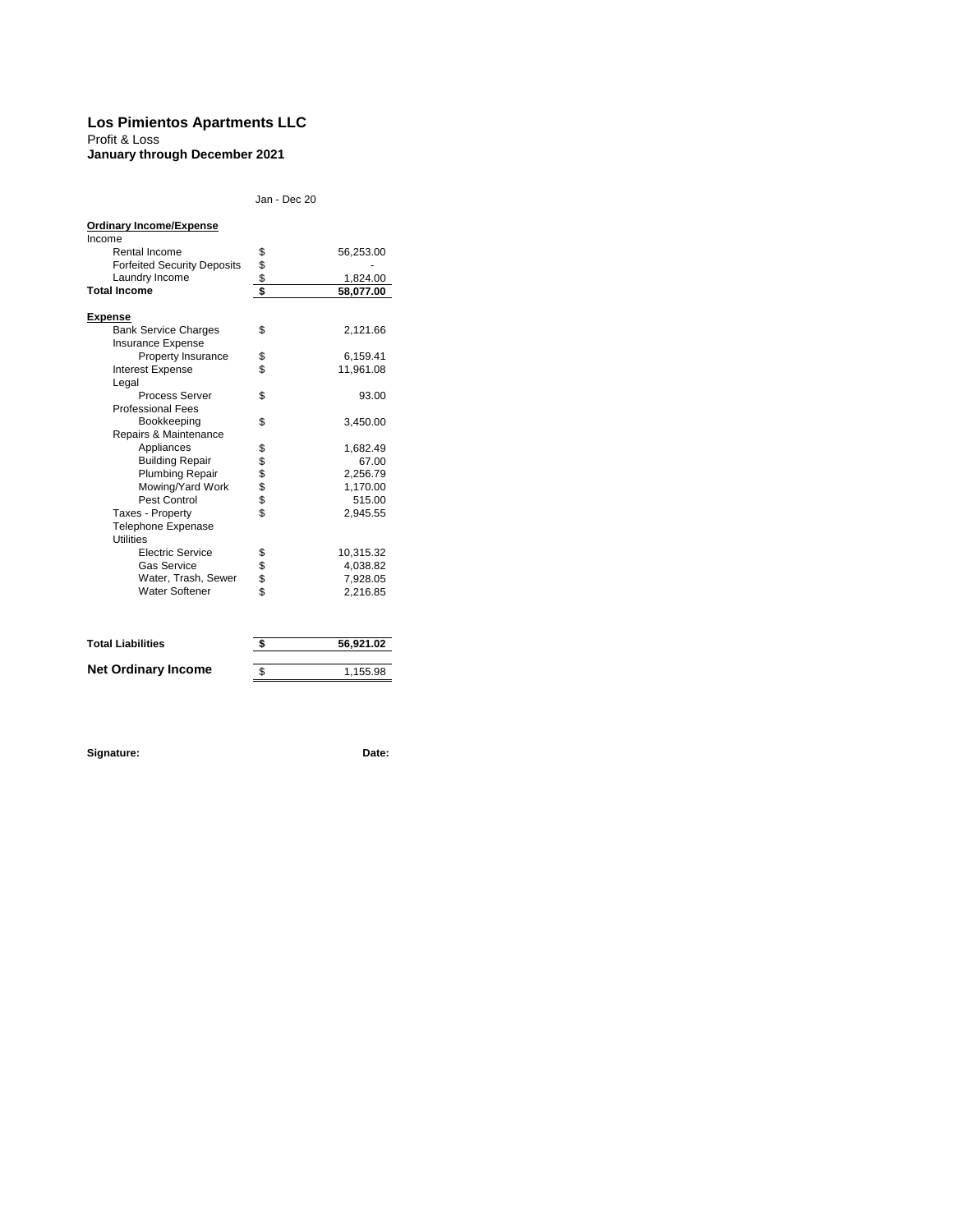#### **Los Pimientos Apartments LLC**

Profit & Loss **January through December 2021**

Jan - Dec 20

| <b>Ordinary Income/Expense</b>                |               |           |
|-----------------------------------------------|---------------|-----------|
| Income                                        |               |           |
| Rental Income                                 |               | 56,253.00 |
| <b>Forfeited Security Deposits</b>            |               |           |
| Laundry Income                                | \$\$\$        | 1,824.00  |
| <b>Total Income</b>                           |               | 58,077.00 |
| <b>Expense</b>                                |               |           |
| <b>Bank Service Charges</b>                   | \$            | 2,121.66  |
| <b>Insurance Expense</b>                      |               |           |
| Property Insurance                            | \$            | 6,159.41  |
| <b>Interest Expense</b>                       | \$            | 11,961.08 |
| Legal                                         |               |           |
| <b>Process Server</b>                         | \$            | 93.00     |
| <b>Professional Fees</b>                      |               |           |
| Bookkeeping                                   | \$            | 3,450.00  |
| Repairs & Maintenance                         |               |           |
| Appliances                                    |               | 1,682.49  |
| <b>Building Repair</b>                        | <b>888888</b> | 67.00     |
| <b>Plumbing Repair</b>                        |               | 2,256.79  |
| Mowing/Yard Work                              |               | 1,170.00  |
| Pest Control                                  |               | 515.00    |
| Taxes - Property                              |               | 2,945.55  |
| <b>Telephone Expenase</b><br><b>Utilities</b> |               |           |
| <b>Electric Service</b>                       |               | 10,315.32 |
| <b>Gas Service</b>                            |               | 4,038.82  |
| Water, Trash, Sewer                           |               | 7,928.05  |
| <b>Water Softener</b>                         | \$\$\$\$      | 2,216.85  |
|                                               |               |           |
| <b>Total Liabilities</b>                      | \$            | 56,921.02 |
|                                               |               |           |
| <b>Net Ordinary Income</b>                    | \$            | 1,155.98  |

**Signature: Date:**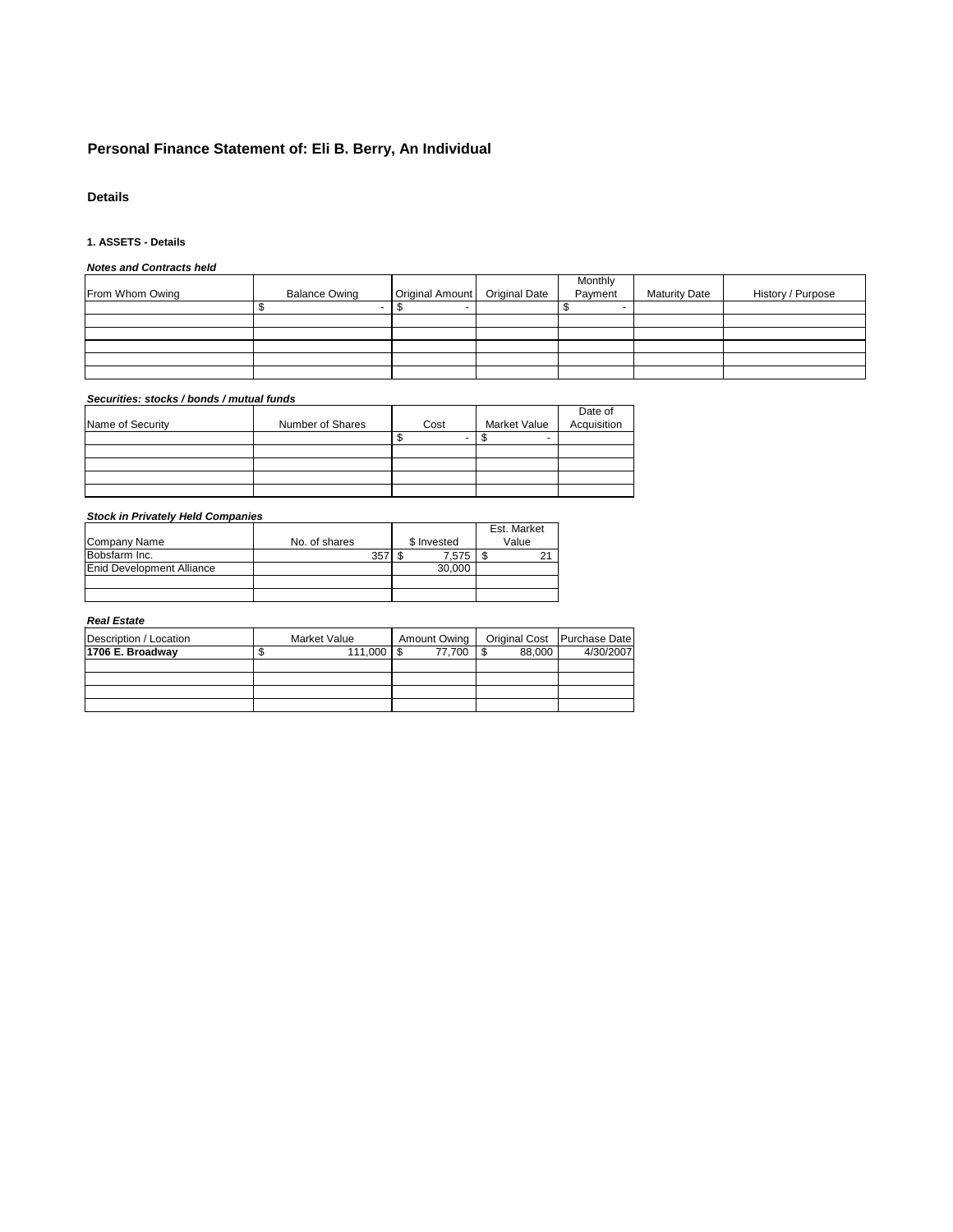# **Personal Finance Statement of: Eli B. Berry, An Individual**

# **Details**

### **1. ASSETS - Details**

### *Notes and Contracts held*

|                 |                      |                                 | Monthly |                      |                   |
|-----------------|----------------------|---------------------------------|---------|----------------------|-------------------|
| From Whom Owing | <b>Balance Owing</b> | Original Amount   Original Date | Payment | <b>Maturity Date</b> | History / Purpose |
|                 |                      |                                 |         |                      |                   |
|                 |                      |                                 |         |                      |                   |
|                 |                      |                                 |         |                      |                   |
|                 |                      |                                 |         |                      |                   |
|                 |                      |                                 |         |                      |                   |
|                 |                      |                                 |         |                      |                   |

### *Securities: stocks / bonds / mutual funds*

|                  |                  |      |              | Date of     |
|------------------|------------------|------|--------------|-------------|
| Name of Security | Number of Shares | Cost | Market Value | Acquisition |
|                  |                  |      |              |             |
|                  |                  |      |              |             |
|                  |                  |      |              |             |
|                  |                  |      |              |             |
|                  |                  |      |              |             |
|                  |                  |      |              |             |

# *Stock in Privately Held Companies*

|                                  |               |             | Est. Market |
|----------------------------------|---------------|-------------|-------------|
| Company Name                     | No. of shares | \$ Invested | Value       |
| Bobsfarm Inc.                    | 357           | 7.575       | 21          |
| <b>Enid Development Alliance</b> |               | 30,000      |             |
|                                  |               |             |             |
|                                  |               |             |             |

#### *Real Estate*

| Description / Location | Market Value | Amount Owing |        | Original Cost Purchase Date |
|------------------------|--------------|--------------|--------|-----------------------------|
| 1706 E. Broadway       | $111.000$ S  | 77.700       | 88.000 | 4/30/2007                   |
|                        |              |              |        |                             |
|                        |              |              |        |                             |
|                        |              |              |        |                             |
|                        |              |              |        |                             |